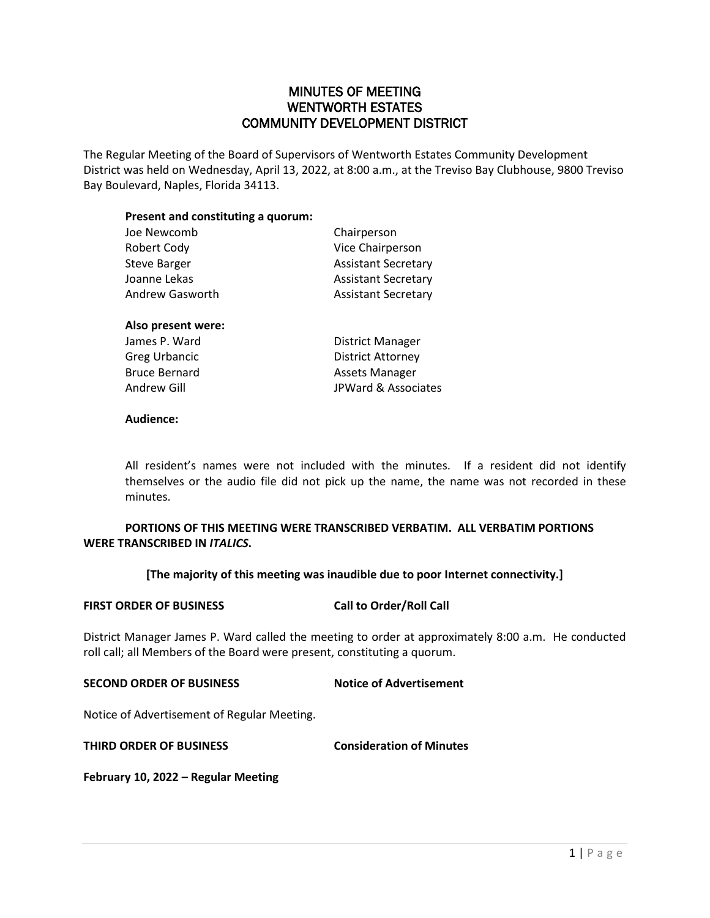# MINUTES OF MEETING WENTWORTH ESTATES COMMUNITY DEVELOPMENT DISTRICT

The Regular Meeting of the Board of Supervisors of Wentworth Estates Community Development District was held on Wednesday, April 13, 2022, at 8:00 a.m., at the Treviso Bay Clubhouse, 9800 Treviso Bay Boulevard, Naples, Florida 34113.

## **Present and constituting a quorum:**

| Joe Newcomb          | Chairperson                |
|----------------------|----------------------------|
| <b>Robert Cody</b>   | Vice Chairperson           |
| <b>Steve Barger</b>  | <b>Assistant Secretary</b> |
| Joanne Lekas         | <b>Assistant Secretary</b> |
| Andrew Gasworth      | <b>Assistant Secretary</b> |
| Also present were:   |                            |
| James P. Ward        | District Manager           |
| Greg Urbancic        | District Attorney          |
| <b>Bruce Bernard</b> | <b>Assets Manager</b>      |
| Andrew Gill          | JPWard & Associates        |

### **Audience:**

All resident's names were not included with the minutes. If a resident did not identify themselves or the audio file did not pick up the name, the name was not recorded in these minutes.

## **PORTIONS OF THIS MEETING WERE TRANSCRIBED VERBATIM. ALL VERBATIM PORTIONS WERE TRANSCRIBED IN** *ITALICS***.**

**[The majority of this meeting was inaudible due to poor Internet connectivity.]**

### **FIRST ORDER OF BUSINESS Call to Order/Roll Call**

District Manager James P. Ward called the meeting to order at approximately 8:00 a.m. He conducted roll call; all Members of the Board were present, constituting a quorum.

## **SECOND ORDER OF BUSINESS Notice of Advertisement**

Notice of Advertisement of Regular Meeting.

**THIRD ORDER OF BUSINESS Consideration of Minutes**

**February 10, 2022 – Regular Meeting**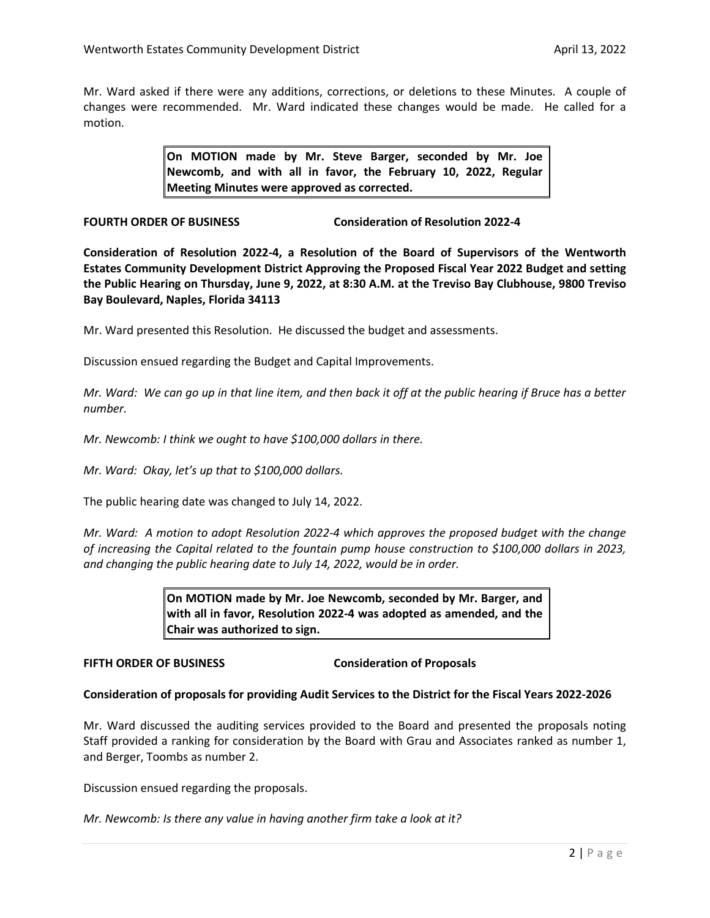Mr. Ward asked if there were any additions, corrections, or deletions to these Minutes. A couple of changes were recommended. Mr. Ward indicated these changes would be made. He called for a motion.

> **On MOTION made by Mr. Steve Barger, seconded by Mr. Joe Newcomb, and with all in favor, the February 10, 2022, Regular Meeting Minutes were approved as corrected.**

**FOURTH ORDER OF BUSINESS Consideration of Resolution 2022-4** 

**Consideration of Resolution 2022-4, a Resolution of the Board of Supervisors of the Wentworth Estates Community Development District Approving the Proposed Fiscal Year 2022 Budget and setting the Public Hearing on Thursday, June 9, 2022, at 8:30 A.M. at the Treviso Bay Clubhouse, 9800 Treviso Bay Boulevard, Naples, Florida 34113**

Mr. Ward presented this Resolution. He discussed the budget and assessments.

Discussion ensued regarding the Budget and Capital Improvements.

*Mr. Ward: We can go up in that line item, and then back it off at the public hearing if Bruce has a better number.*

*Mr. Newcomb: I think we ought to have \$100,000 dollars in there.*

*Mr. Ward: Okay, let's up that to \$100,000 dollars.* 

The public hearing date was changed to July 14, 2022.

*Mr. Ward: A motion to adopt Resolution 2022-4 which approves the proposed budget with the change of increasing the Capital related to the fountain pump house construction to \$100,000 dollars in 2023, and changing the public hearing date to July 14, 2022, would be in order.*

> **On MOTION made by Mr. Joe Newcomb, seconded by Mr. Barger, and with all in favor, Resolution 2022-4 was adopted as amended, and the Chair was authorized to sign.**

### **FIFTH ORDER OF BUSINESS Consideration of Proposals**

### **Consideration of proposals for providing Audit Services to the District for the Fiscal Years 2022-2026**

Mr. Ward discussed the auditing services provided to the Board and presented the proposals noting Staff provided a ranking for consideration by the Board with Grau and Associates ranked as number 1, and Berger, Toombs as number 2.

Discussion ensued regarding the proposals.

*Mr. Newcomb: Is there any value in having another firm take a look at it?*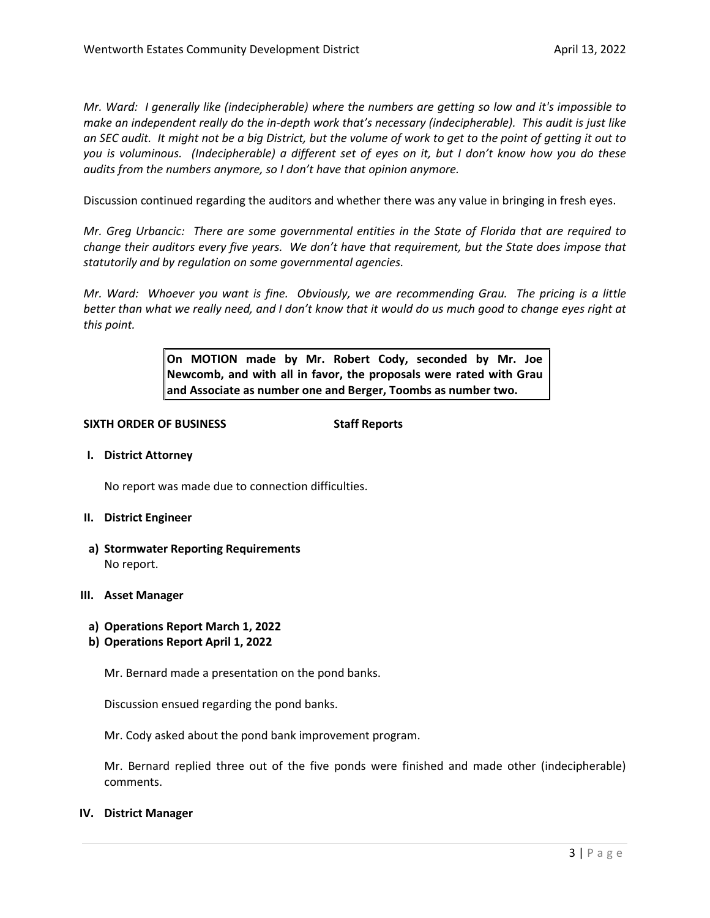*Mr. Ward: I generally like (indecipherable) where the numbers are getting so low and it's impossible to make an independent really do the in-depth work that's necessary (indecipherable). This audit is just like an SEC audit. It might not be a big District, but the volume of work to get to the point of getting it out to you is voluminous. (Indecipherable) a different set of eyes on it, but I don't know how you do these audits from the numbers anymore, so I don't have that opinion anymore.* 

Discussion continued regarding the auditors and whether there was any value in bringing in fresh eyes.

*Mr. Greg Urbancic: There are some governmental entities in the State of Florida that are required to change their auditors every five years. We don't have that requirement, but the State does impose that statutorily and by regulation on some governmental agencies.* 

*Mr. Ward: Whoever you want is fine. Obviously, we are recommending Grau. The pricing is a little better than what we really need, and I don't know that it would do us much good to change eyes right at this point.* 

> **On MOTION made by Mr. Robert Cody, seconded by Mr. Joe Newcomb, and with all in favor, the proposals were rated with Grau and Associate as number one and Berger, Toombs as number two.**

### **SIXTH ORDER OF BUSINESS Staff Reports**

**I. District Attorney**

No report was made due to connection difficulties.

- **II. District Engineer**
- **a) Stormwater Reporting Requirements** No report.

### **III. Asset Manager**

- **a) Operations Report March 1, 2022**
- **b) Operations Report April 1, 2022**

Mr. Bernard made a presentation on the pond banks.

Discussion ensued regarding the pond banks.

Mr. Cody asked about the pond bank improvement program.

Mr. Bernard replied three out of the five ponds were finished and made other (indecipherable) comments.

### **IV. District Manager**